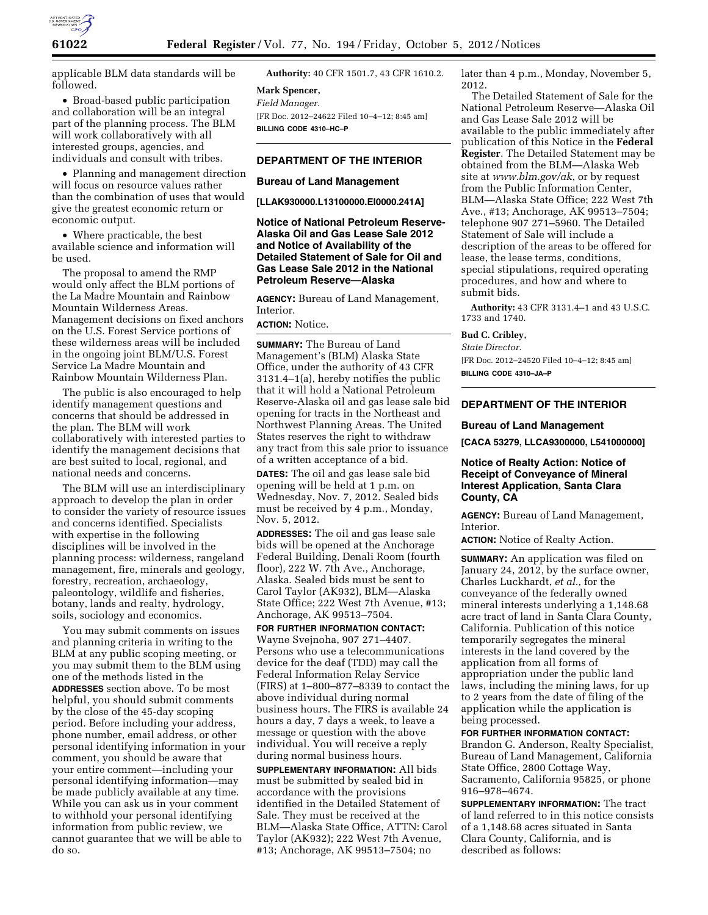

applicable BLM data standards will be followed.

• Broad-based public participation and collaboration will be an integral part of the planning process. The BLM will work collaboratively with all interested groups, agencies, and individuals and consult with tribes.

• Planning and management direction will focus on resource values rather than the combination of uses that would give the greatest economic return or economic output.

• Where practicable, the best available science and information will be used.

The proposal to amend the RMP would only affect the BLM portions of the La Madre Mountain and Rainbow Mountain Wilderness Areas. Management decisions on fixed anchors on the U.S. Forest Service portions of these wilderness areas will be included in the ongoing joint BLM/U.S. Forest Service La Madre Mountain and Rainbow Mountain Wilderness Plan.

The public is also encouraged to help identify management questions and concerns that should be addressed in the plan. The BLM will work collaboratively with interested parties to identify the management decisions that are best suited to local, regional, and national needs and concerns.

The BLM will use an interdisciplinary approach to develop the plan in order to consider the variety of resource issues and concerns identified. Specialists with expertise in the following disciplines will be involved in the planning process: wilderness, rangeland management, fire, minerals and geology, forestry, recreation, archaeology, paleontology, wildlife and fisheries, botany, lands and realty, hydrology, soils, sociology and economics.

You may submit comments on issues and planning criteria in writing to the BLM at any public scoping meeting, or you may submit them to the BLM using one of the methods listed in the **ADDRESSES** section above. To be most helpful, you should submit comments by the close of the 45-day scoping period. Before including your address, phone number, email address, or other personal identifying information in your comment, you should be aware that your entire comment—including your personal identifying information—may be made publicly available at any time. While you can ask us in your comment to withhold your personal identifying information from public review, we cannot guarantee that we will be able to do so.

**Authority:** 40 CFR 1501.7, 43 CFR 1610.2.

**Mark Spencer,** 

*Field Manager.*  [FR Doc. 2012–24622 Filed 10–4–12; 8:45 am] **BILLING CODE 4310–HC–P** 

### **DEPARTMENT OF THE INTERIOR**

### **Bureau of Land Management**

**[LLAK930000.L13100000.EI0000.241A]** 

## **Notice of National Petroleum Reserve-Alaska Oil and Gas Lease Sale 2012 and Notice of Availability of the Detailed Statement of Sale for Oil and Gas Lease Sale 2012 in the National Petroleum Reserve—Alaska**

**AGENCY:** Bureau of Land Management, Interior.

# **ACTION:** Notice.

**SUMMARY:** The Bureau of Land Management's (BLM) Alaska State Office, under the authority of 43 CFR 3131.4–1(a), hereby notifies the public that it will hold a National Petroleum Reserve-Alaska oil and gas lease sale bid opening for tracts in the Northeast and Northwest Planning Areas. The United States reserves the right to withdraw any tract from this sale prior to issuance of a written acceptance of a bid.

**DATES:** The oil and gas lease sale bid opening will be held at 1 p.m. on Wednesday, Nov. 7, 2012. Sealed bids must be received by 4 p.m., Monday, Nov. 5, 2012.

**ADDRESSES:** The oil and gas lease sale bids will be opened at the Anchorage Federal Building, Denali Room (fourth floor), 222 W. 7th Ave., Anchorage, Alaska. Sealed bids must be sent to Carol Taylor (AK932), BLM—Alaska State Office; 222 West 7th Avenue, #13; Anchorage, AK 99513–7504.

**FOR FURTHER INFORMATION CONTACT:**  Wayne Svejnoha, 907 271–4407. Persons who use a telecommunications device for the deaf (TDD) may call the Federal Information Relay Service (FIRS) at 1–800–877–8339 to contact the above individual during normal business hours. The FIRS is available 24 hours a day, 7 days a week, to leave a message or question with the above individual. You will receive a reply during normal business hours.

**SUPPLEMENTARY INFORMATION:** All bids must be submitted by sealed bid in accordance with the provisions identified in the Detailed Statement of Sale. They must be received at the BLM—Alaska State Office, ATTN: Carol Taylor (AK932); 222 West 7th Avenue, #13; Anchorage, AK 99513–7504; no

later than 4 p.m., Monday, November 5, 2012.

The Detailed Statement of Sale for the National Petroleum Reserve—Alaska Oil and Gas Lease Sale 2012 will be available to the public immediately after publication of this Notice in the **Federal Register**. The Detailed Statement may be obtained from the BLM—Alaska Web site at *[www.blm.gov/ak](http://www.blm.gov/ak)*, or by request from the Public Information Center, BLM—Alaska State Office; 222 West 7th Ave., #13; Anchorage, AK 99513–7504; telephone 907 271–5960. The Detailed Statement of Sale will include a description of the areas to be offered for lease, the lease terms, conditions, special stipulations, required operating procedures, and how and where to submit bids.

**Authority:** 43 CFR 3131.4–1 and 43 U.S.C. 1733 and 1740.

### **Bud C. Cribley,**

*State Director.*  [FR Doc. 2012–24520 Filed 10–4–12; 8:45 am] **BILLING CODE 4310–JA–P** 

### **DEPARTMENT OF THE INTERIOR**

#### **Bureau of Land Management**

**[CACA 53279, LLCA9300000, L541000000]** 

## **Notice of Realty Action: Notice of Receipt of Conveyance of Mineral Interest Application, Santa Clara County, CA**

**AGENCY:** Bureau of Land Management, Interior.

**ACTION:** Notice of Realty Action.

**SUMMARY:** An application was filed on January 24, 2012, by the surface owner, Charles Luckhardt, *et al.,* for the conveyance of the federally owned mineral interests underlying a 1,148.68 acre tract of land in Santa Clara County, California. Publication of this notice temporarily segregates the mineral interests in the land covered by the application from all forms of appropriation under the public land laws, including the mining laws, for up to 2 years from the date of filing of the application while the application is being processed.

## **FOR FURTHER INFORMATION CONTACT:**

Brandon G. Anderson, Realty Specialist, Bureau of Land Management, California State Office, 2800 Cottage Way, Sacramento, California 95825, or phone 916–978–4674.

**SUPPLEMENTARY INFORMATION:** The tract of land referred to in this notice consists of a 1,148.68 acres situated in Santa Clara County, California, and is described as follows: